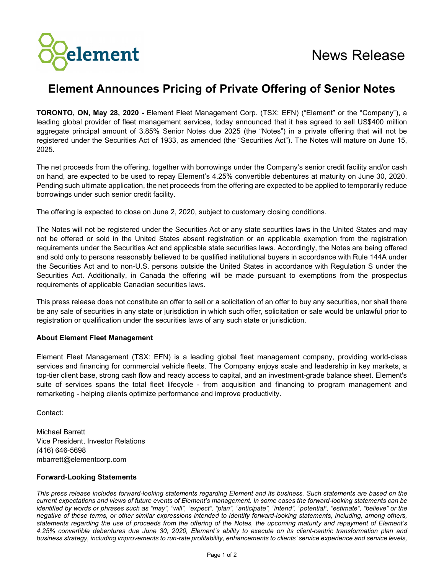

## **Element Announces Pricing of Private Offering of Senior Notes**

**TORONTO, ON, May 28, 2020 -** Element Fleet Management Corp. (TSX: EFN) ("Element" or the "Company"), a leading global provider of fleet management services, today announced that it has agreed to sell US\$400 million aggregate principal amount of 3.85% Senior Notes due 2025 (the "Notes") in a private offering that will not be registered under the Securities Act of 1933, as amended (the "Securities Act"). The Notes will mature on June 15, 2025.

The net proceeds from the offering, together with borrowings under the Company's senior credit facility and/or cash on hand, are expected to be used to repay Element's 4.25% convertible debentures at maturity on June 30, 2020. Pending such ultimate application, the net proceeds from the offering are expected to be applied to temporarily reduce borrowings under such senior credit facility.

The offering is expected to close on June 2, 2020, subject to customary closing conditions.

The Notes will not be registered under the Securities Act or any state securities laws in the United States and may not be offered or sold in the United States absent registration or an applicable exemption from the registration requirements under the Securities Act and applicable state securities laws. Accordingly, the Notes are being offered and sold only to persons reasonably believed to be qualified institutional buyers in accordance with Rule 144A under the Securities Act and to non-U.S. persons outside the United States in accordance with Regulation S under the Securities Act. Additionally, in Canada the offering will be made pursuant to exemptions from the prospectus requirements of applicable Canadian securities laws.

This press release does not constitute an offer to sell or a solicitation of an offer to buy any securities, nor shall there be any sale of securities in any state or jurisdiction in which such offer, solicitation or sale would be unlawful prior to registration or qualification under the securities laws of any such state or jurisdiction.

## **About Element Fleet Management**

Element Fleet Management (TSX: EFN) is a leading global fleet management company, providing world-class services and financing for commercial vehicle fleets. The Company enjoys scale and leadership in key markets, a top-tier client base, strong cash flow and ready access to capital, and an investment-grade balance sheet. Element's suite of services spans the total fleet lifecycle - from acquisition and financing to program management and remarketing - helping clients optimize performance and improve productivity.

Contact:

Michael Barrett Vice President, Investor Relations (416) 646-5698 mbarrett@elementcorp.com

## **Forward-Looking Statements**

*This press release includes forward-looking statements regarding Element and its business. Such statements are based on the current expectations and views of future events of Element's management. In some cases the forward-looking statements can be identified by words or phrases such as "may", "will", "expect", "plan", "anticipate", "intend", "potential", "estimate", "believe" or the negative of these terms, or other similar expressions intended to identify forward-looking statements, including, among others, statements regarding the use of proceeds from the offering of the Notes, the upcoming maturity and repayment of Element's 4.25% convertible debentures due June 30, 2020, Element's ability to execute on its client-centric transformation plan and business strategy, including improvements to run-rate profitability, enhancements to clients' service experience and service levels,*